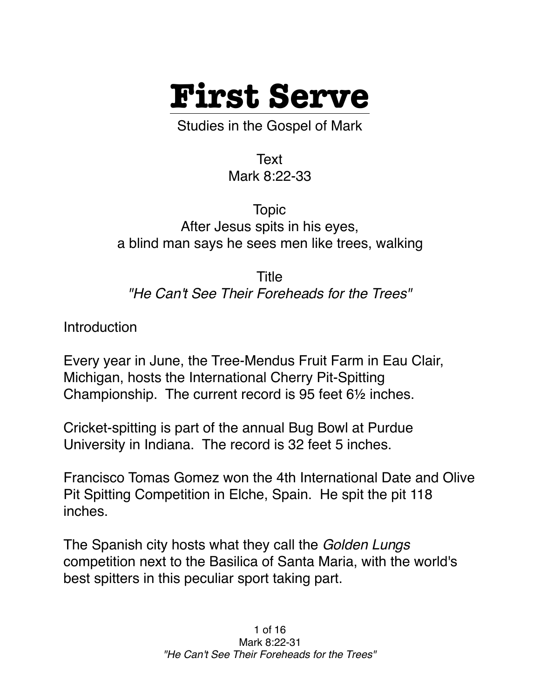

Studies in the Gospel of Mark

Text Mark 8:22-33

Topic After Jesus spits in his eyes, a blind man says he sees men like trees, walking

Title *"He Can't See Their Foreheads for the Trees"*

Introduction

Every year in June, the Tree-Mendus Fruit Farm in Eau Clair, Michigan, hosts the International Cherry Pit-Spitting Championship. The current record is 95 feet 6½ inches.

Cricket-spitting is part of the annual Bug Bowl at Purdue University in Indiana. The record is 32 feet 5 inches.

Francisco Tomas Gomez won the 4th International Date and Olive Pit Spitting Competition in Elche, Spain. He spit the pit 118 inches.

The Spanish city hosts what they call the *Golden Lungs* competition next to the Basilica of Santa Maria, with the world's best spitters in this peculiar sport taking part.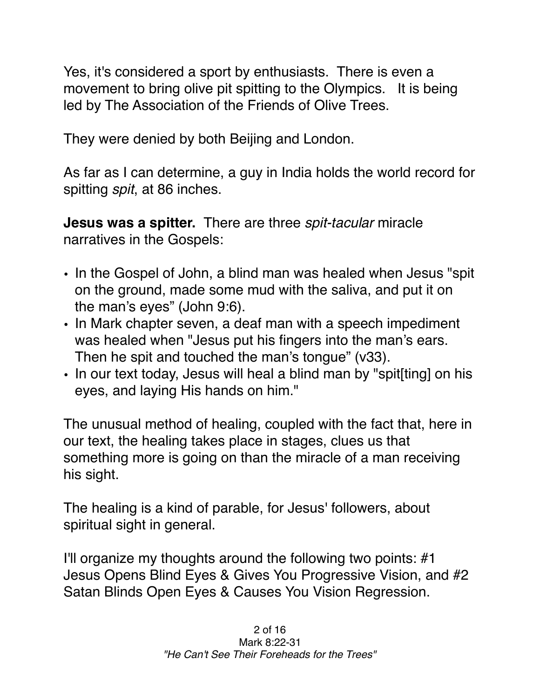Yes, it's considered a sport by enthusiasts. There is even a movement to bring olive pit spitting to the Olympics. It is being led by The Association of the Friends of Olive Trees.

They were denied by both Beijing and London.

As far as I can determine, a guy in India holds the world record for spitting *spit*, at 86 inches.

**Jesus was a spitter.** There are three *spit-tacular* miracle narratives in the Gospels:

- In the Gospel of John, a blind man was healed when Jesus "spit on the ground, made some mud with the saliva, and put it on the man's eyes" (John 9:6).
- In Mark chapter seven, a deaf man with a speech impediment was healed when "Jesus put his fingers into the man's ears. Then he spit and touched the man's tongue" (v33).
- In our text today, Jesus will heal a blind man by "spit[ting] on his eyes, and laying His hands on him."

The unusual method of healing, coupled with the fact that, here in our text, the healing takes place in stages, clues us that something more is going on than the miracle of a man receiving his sight.

The healing is a kind of parable, for Jesus' followers, about spiritual sight in general.

I'll organize my thoughts around the following two points: #1 Jesus Opens Blind Eyes & Gives You Progressive Vision, and #2 Satan Blinds Open Eyes & Causes You Vision Regression.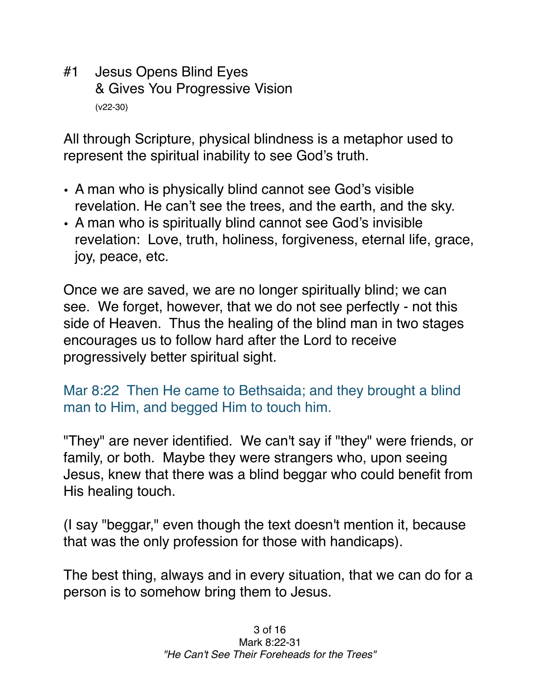#1 Jesus Opens Blind Eyes & Gives You Progressive Vision (v22-30)

All through Scripture, physical blindness is a metaphor used to represent the spiritual inability to see God's truth.

- A man who is physically blind cannot see God's visible revelation. He can't see the trees, and the earth, and the sky.
- A man who is spiritually blind cannot see God's invisible revelation: Love, truth, holiness, forgiveness, eternal life, grace, joy, peace, etc.

Once we are saved, we are no longer spiritually blind; we can see. We forget, however, that we do not see perfectly - not this side of Heaven. Thus the healing of the blind man in two stages encourages us to follow hard after the Lord to receive progressively better spiritual sight.

Mar 8:22 Then He came to Bethsaida; and they brought a blind man to Him, and begged Him to touch him.

"They" are never identified. We can't say if "they" were friends, or family, or both. Maybe they were strangers who, upon seeing Jesus, knew that there was a blind beggar who could benefit from His healing touch.

(I say "beggar," even though the text doesn't mention it, because that was the only profession for those with handicaps).

The best thing, always and in every situation, that we can do for a person is to somehow bring them to Jesus.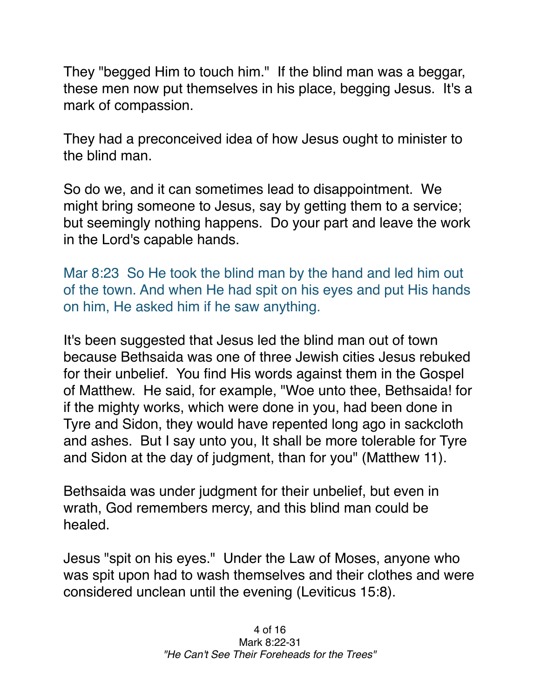They "begged Him to touch him." If the blind man was a beggar, these men now put themselves in his place, begging Jesus. It's a mark of compassion.

They had a preconceived idea of how Jesus ought to minister to the blind man.

So do we, and it can sometimes lead to disappointment. We might bring someone to Jesus, say by getting them to a service; but seemingly nothing happens. Do your part and leave the work in the Lord's capable hands.

Mar 8:23 So He took the blind man by the hand and led him out of the town. And when He had spit on his eyes and put His hands on him, He asked him if he saw anything.

It's been suggested that Jesus led the blind man out of town because Bethsaida was one of three Jewish cities Jesus rebuked for their unbelief. You find His words against them in the Gospel of Matthew. He said, for example, "Woe unto thee, Bethsaida! for if the mighty works, which were done in you, had been done in Tyre and Sidon, they would have repented long ago in sackcloth and ashes. But I say unto you, It shall be more tolerable for Tyre and Sidon at the day of judgment, than for you" (Matthew 11).

Bethsaida was under judgment for their unbelief, but even in wrath, God remembers mercy, and this blind man could be healed.

Jesus "spit on his eyes." Under the Law of Moses, anyone who was spit upon had to wash themselves and their clothes and were considered unclean until the evening (Leviticus 15:8).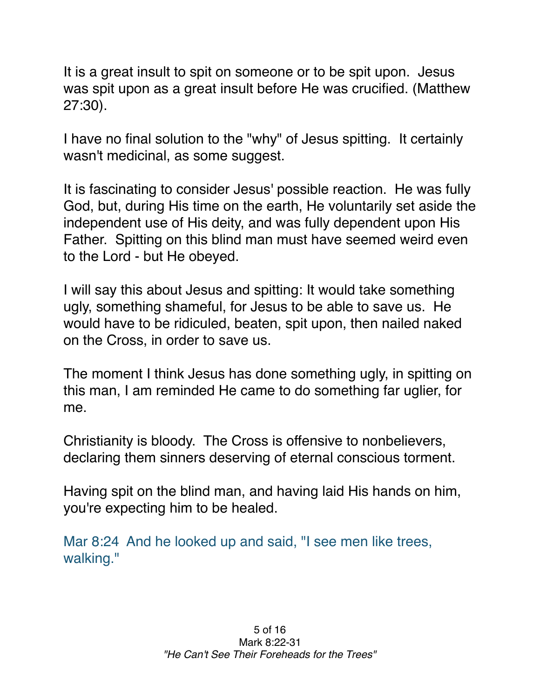It is a great insult to spit on someone or to be spit upon. Jesus was spit upon as a great insult before He was crucified. (Matthew 27:30).

I have no final solution to the "why" of Jesus spitting. It certainly wasn't medicinal, as some suggest.

It is fascinating to consider Jesus' possible reaction. He was fully God, but, during His time on the earth, He voluntarily set aside the independent use of His deity, and was fully dependent upon His Father. Spitting on this blind man must have seemed weird even to the Lord - but He obeyed.

I will say this about Jesus and spitting: It would take something ugly, something shameful, for Jesus to be able to save us. He would have to be ridiculed, beaten, spit upon, then nailed naked on the Cross, in order to save us.

The moment I think Jesus has done something ugly, in spitting on this man, I am reminded He came to do something far uglier, for me.

Christianity is bloody. The Cross is offensive to nonbelievers, declaring them sinners deserving of eternal conscious torment.

Having spit on the blind man, and having laid His hands on him, you're expecting him to be healed.

Mar 8:24 And he looked up and said, "I see men like trees, walking."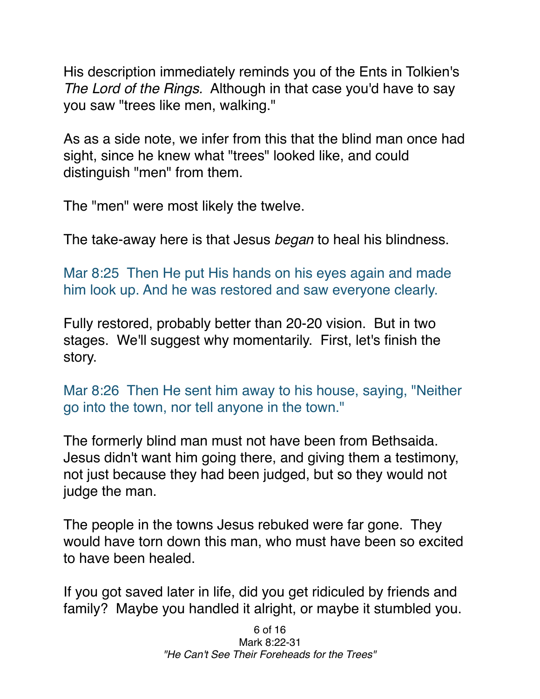His description immediately reminds you of the Ents in Tolkien's *The Lord of the Rings.* Although in that case you'd have to say you saw "trees like men, walking."

As as a side note, we infer from this that the blind man once had sight, since he knew what "trees" looked like, and could distinguish "men" from them.

The "men" were most likely the twelve.

The take-away here is that Jesus *began* to heal his blindness.

Mar 8:25 Then He put His hands on his eyes again and made him look up. And he was restored and saw everyone clearly.

Fully restored, probably better than 20-20 vision. But in two stages. We'll suggest why momentarily. First, let's finish the story.

Mar 8:26 Then He sent him away to his house, saying, "Neither go into the town, nor tell anyone in the town."

The formerly blind man must not have been from Bethsaida. Jesus didn't want him going there, and giving them a testimony, not just because they had been judged, but so they would not judge the man.

The people in the towns Jesus rebuked were far gone. They would have torn down this man, who must have been so excited to have been healed.

If you got saved later in life, did you get ridiculed by friends and family? Maybe you handled it alright, or maybe it stumbled you.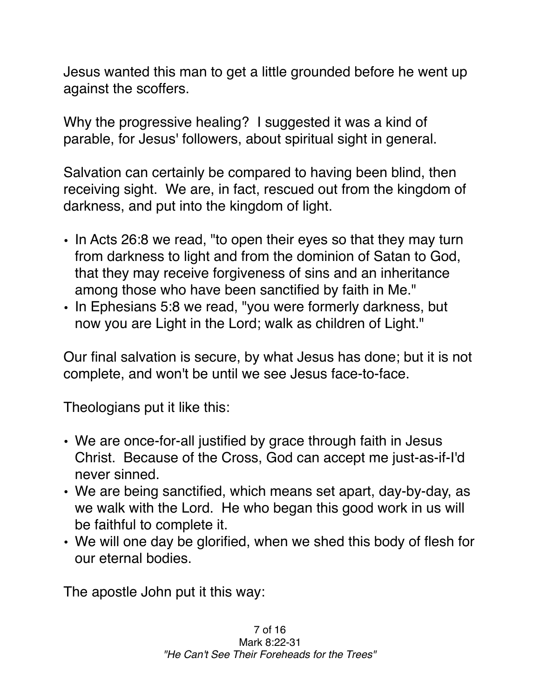Jesus wanted this man to get a little grounded before he went up against the scoffers.

Why the progressive healing? I suggested it was a kind of parable, for Jesus' followers, about spiritual sight in general.

Salvation can certainly be compared to having been blind, then receiving sight. We are, in fact, rescued out from the kingdom of darkness, and put into the kingdom of light.

- In Acts 26:8 we read, "to open their eyes so that they may turn from darkness to light and from the dominion of Satan to God, that they may receive forgiveness of sins and an inheritance among those who have been sanctified by faith in Me."
- In Ephesians 5:8 we read, "you were formerly darkness, but now you are Light in the Lord; walk as children of Light."

Our final salvation is secure, by what Jesus has done; but it is not complete, and won't be until we see Jesus face-to-face.

Theologians put it like this:

- We are once-for-all justified by grace through faith in Jesus Christ. Because of the Cross, God can accept me just-as-if-I'd never sinned.
- We are being sanctified, which means set apart, day-by-day, as we walk with the Lord. He who began this good work in us will be faithful to complete it.
- We will one day be glorified, when we shed this body of flesh for our eternal bodies.

The apostle John put it this way: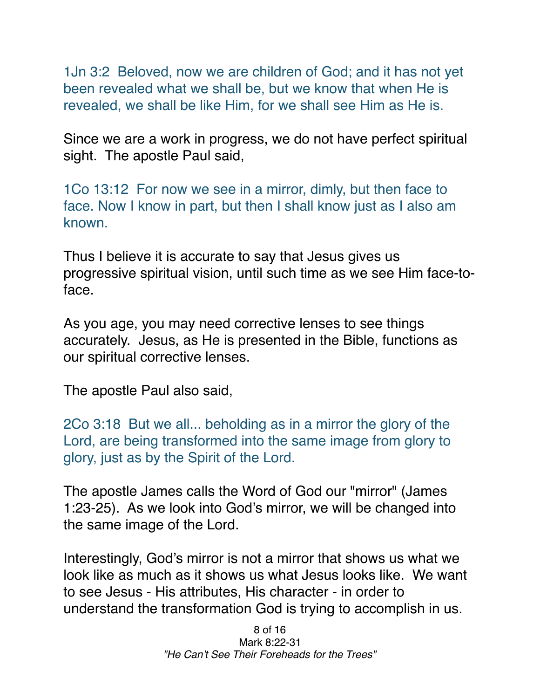1Jn 3:2 Beloved, now we are children of God; and it has not yet been revealed what we shall be, but we know that when He is revealed, we shall be like Him, for we shall see Him as He is.

Since we are a work in progress, we do not have perfect spiritual sight. The apostle Paul said,

1Co 13:12 For now we see in a mirror, dimly, but then face to face. Now I know in part, but then I shall know just as I also am known.

Thus I believe it is accurate to say that Jesus gives us progressive spiritual vision, until such time as we see Him face-toface.

As you age, you may need corrective lenses to see things accurately. Jesus, as He is presented in the Bible, functions as our spiritual corrective lenses.

The apostle Paul also said,

2Co 3:18 But we all... beholding as in a mirror the glory of the Lord, are being transformed into the same image from glory to glory, just as by the Spirit of the Lord.

The apostle James calls the Word of God our "mirror" (James 1:23-25). As we look into God's mirror, we will be changed into the same image of the Lord.

Interestingly, God's mirror is not a mirror that shows us what we look like as much as it shows us what Jesus looks like. We want to see Jesus - His attributes, His character - in order to understand the transformation God is trying to accomplish in us.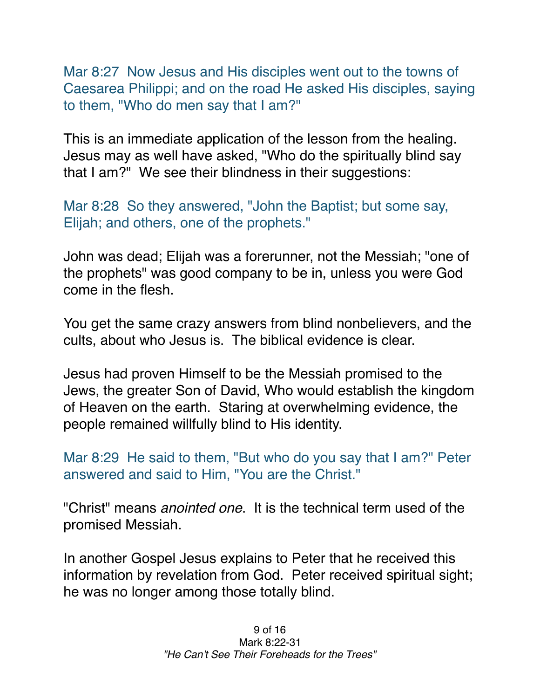Mar 8:27 Now Jesus and His disciples went out to the towns of Caesarea Philippi; and on the road He asked His disciples, saying to them, "Who do men say that I am?"

This is an immediate application of the lesson from the healing. Jesus may as well have asked, "Who do the spiritually blind say that I am?" We see their blindness in their suggestions:

Mar 8:28 So they answered, "John the Baptist; but some say, Elijah; and others, one of the prophets."

John was dead; Elijah was a forerunner, not the Messiah; "one of the prophets" was good company to be in, unless you were God come in the flesh.

You get the same crazy answers from blind nonbelievers, and the cults, about who Jesus is. The biblical evidence is clear.

Jesus had proven Himself to be the Messiah promised to the Jews, the greater Son of David, Who would establish the kingdom of Heaven on the earth. Staring at overwhelming evidence, the people remained willfully blind to His identity.

Mar 8:29 He said to them, "But who do you say that I am?" Peter answered and said to Him, "You are the Christ."

"Christ" means *anointed one*. It is the technical term used of the promised Messiah.

In another Gospel Jesus explains to Peter that he received this information by revelation from God. Peter received spiritual sight; he was no longer among those totally blind.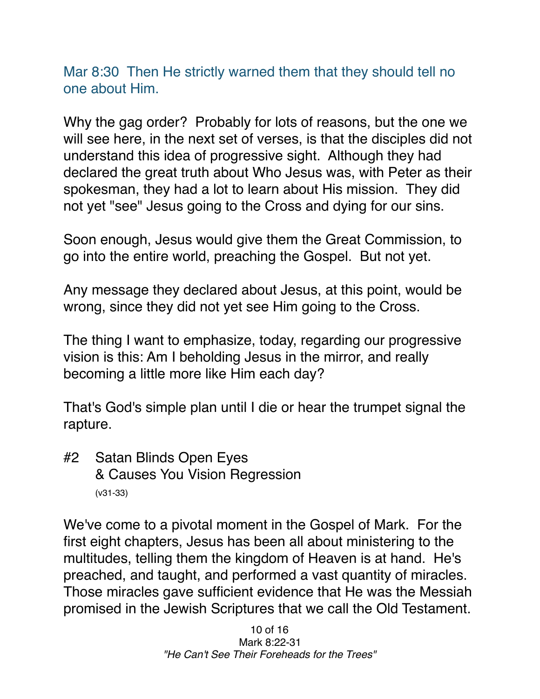Mar 8:30 Then He strictly warned them that they should tell no one about Him.

Why the gag order? Probably for lots of reasons, but the one we will see here, in the next set of verses, is that the disciples did not understand this idea of progressive sight. Although they had declared the great truth about Who Jesus was, with Peter as their spokesman, they had a lot to learn about His mission. They did not yet "see" Jesus going to the Cross and dying for our sins.

Soon enough, Jesus would give them the Great Commission, to go into the entire world, preaching the Gospel. But not yet.

Any message they declared about Jesus, at this point, would be wrong, since they did not yet see Him going to the Cross.

The thing I want to emphasize, today, regarding our progressive vision is this: Am I beholding Jesus in the mirror, and really becoming a little more like Him each day?

That's God's simple plan until I die or hear the trumpet signal the rapture.

#2 Satan Blinds Open Eyes & Causes You Vision Regression (v31-33)

We've come to a pivotal moment in the Gospel of Mark. For the first eight chapters, Jesus has been all about ministering to the multitudes, telling them the kingdom of Heaven is at hand. He's preached, and taught, and performed a vast quantity of miracles. Those miracles gave sufficient evidence that He was the Messiah promised in the Jewish Scriptures that we call the Old Testament.

> 10 of 16 Mark 8:22-31 *"He Can't See Their Foreheads for the Trees"*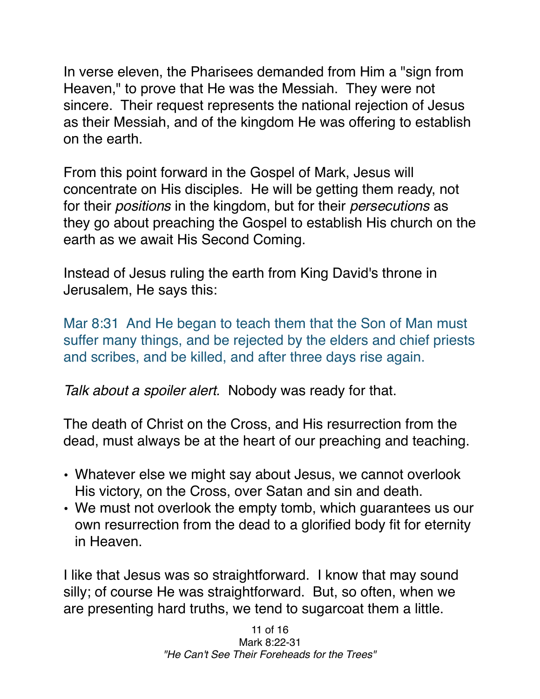In verse eleven, the Pharisees demanded from Him a "sign from Heaven," to prove that He was the Messiah. They were not sincere. Their request represents the national rejection of Jesus as their Messiah, and of the kingdom He was offering to establish on the earth.

From this point forward in the Gospel of Mark, Jesus will concentrate on His disciples. He will be getting them ready, not for their *positions* in the kingdom, but for their *persecutions* as they go about preaching the Gospel to establish His church on the earth as we await His Second Coming.

Instead of Jesus ruling the earth from King David's throne in Jerusalem, He says this:

Mar 8:31 And He began to teach them that the Son of Man must suffer many things, and be rejected by the elders and chief priests and scribes, and be killed, and after three days rise again.

*Talk about a spoiler alert.* Nobody was ready for that.

The death of Christ on the Cross, and His resurrection from the dead, must always be at the heart of our preaching and teaching.

- Whatever else we might say about Jesus, we cannot overlook His victory, on the Cross, over Satan and sin and death.
- We must not overlook the empty tomb, which guarantees us our own resurrection from the dead to a glorified body fit for eternity in Heaven.

I like that Jesus was so straightforward. I know that may sound silly; of course He was straightforward. But, so often, when we are presenting hard truths, we tend to sugarcoat them a little.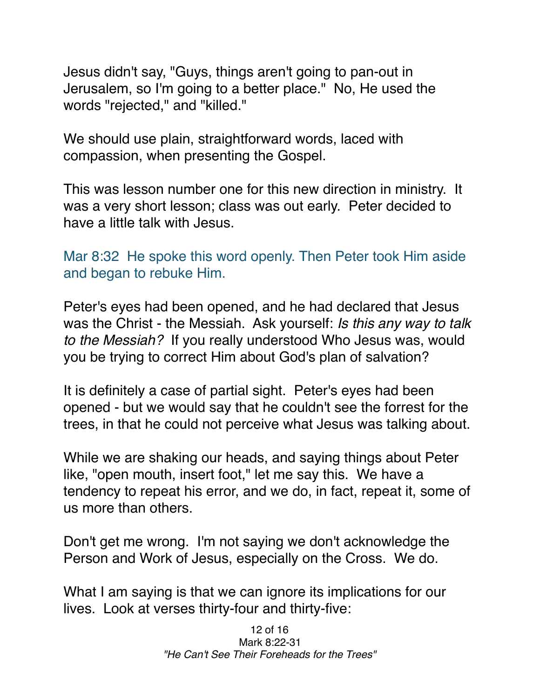Jesus didn't say, "Guys, things aren't going to pan-out in Jerusalem, so I'm going to a better place." No, He used the words "rejected," and "killed."

We should use plain, straightforward words, laced with compassion, when presenting the Gospel.

This was lesson number one for this new direction in ministry. It was a very short lesson; class was out early. Peter decided to have a little talk with Jesus.

Mar 8:32 He spoke this word openly. Then Peter took Him aside and began to rebuke Him.

Peter's eyes had been opened, and he had declared that Jesus was the Christ - the Messiah. Ask yourself: *Is this any way to talk to the Messiah?* If you really understood Who Jesus was, would you be trying to correct Him about God's plan of salvation?

It is definitely a case of partial sight. Peter's eyes had been opened - but we would say that he couldn't see the forrest for the trees, in that he could not perceive what Jesus was talking about.

While we are shaking our heads, and saying things about Peter like, "open mouth, insert foot," let me say this. We have a tendency to repeat his error, and we do, in fact, repeat it, some of us more than others.

Don't get me wrong. I'm not saying we don't acknowledge the Person and Work of Jesus, especially on the Cross. We do.

What I am saying is that we can ignore its implications for our lives. Look at verses thirty-four and thirty-five: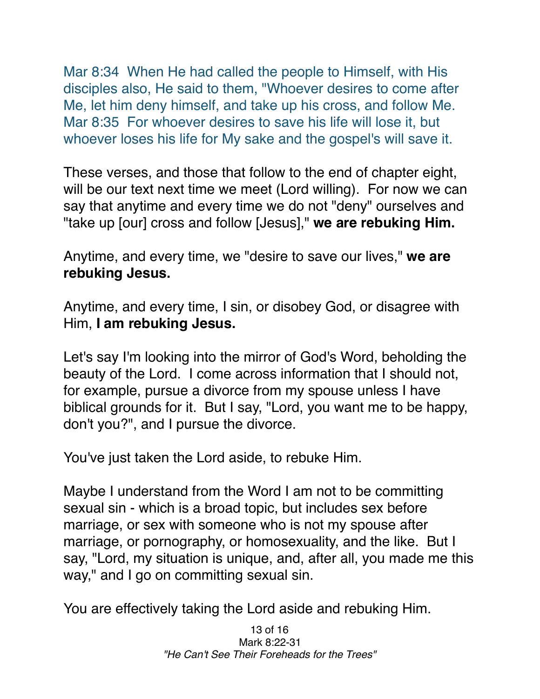Mar 8:34 When He had called the people to Himself, with His disciples also, He said to them, "Whoever desires to come after Me, let him deny himself, and take up his cross, and follow Me. Mar 8:35 For whoever desires to save his life will lose it, but whoever loses his life for My sake and the gospel's will save it.

These verses, and those that follow to the end of chapter eight, will be our text next time we meet (Lord willing). For now we can say that anytime and every time we do not "deny" ourselves and "take up [our] cross and follow [Jesus]," **we are rebuking Him.**

Anytime, and every time, we "desire to save our lives," **we are rebuking Jesus.**

Anytime, and every time, I sin, or disobey God, or disagree with Him, **I am rebuking Jesus.**

Let's say I'm looking into the mirror of God's Word, beholding the beauty of the Lord. I come across information that I should not, for example, pursue a divorce from my spouse unless I have biblical grounds for it. But I say, "Lord, you want me to be happy, don't you?", and I pursue the divorce.

You've just taken the Lord aside, to rebuke Him.

Maybe I understand from the Word I am not to be committing sexual sin - which is a broad topic, but includes sex before marriage, or sex with someone who is not my spouse after marriage, or pornography, or homosexuality, and the like. But I say, "Lord, my situation is unique, and, after all, you made me this way," and I go on committing sexual sin.

You are effectively taking the Lord aside and rebuking Him.

13 of 16 Mark 8:22-31 *"He Can't See Their Foreheads for the Trees"*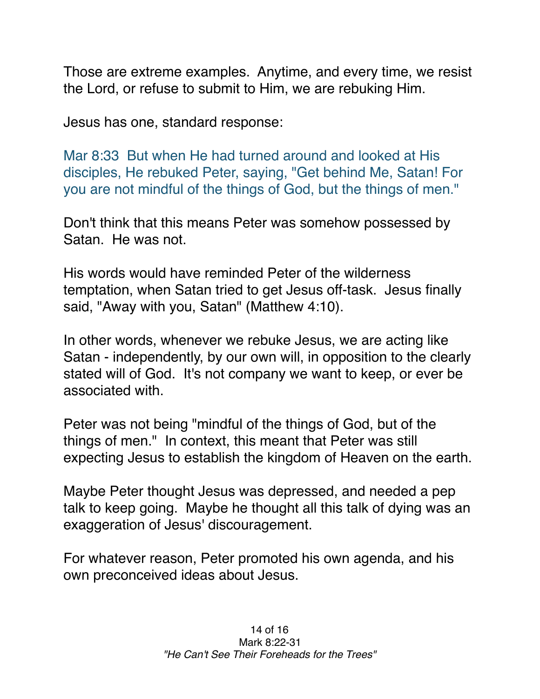Those are extreme examples. Anytime, and every time, we resist the Lord, or refuse to submit to Him, we are rebuking Him.

Jesus has one, standard response:

Mar 8:33 But when He had turned around and looked at His disciples, He rebuked Peter, saying, "Get behind Me, Satan! For you are not mindful of the things of God, but the things of men."

Don't think that this means Peter was somehow possessed by Satan. He was not.

His words would have reminded Peter of the wilderness temptation, when Satan tried to get Jesus off-task. Jesus finally said, "Away with you, Satan" (Matthew 4:10).

In other words, whenever we rebuke Jesus, we are acting like Satan - independently, by our own will, in opposition to the clearly stated will of God. It's not company we want to keep, or ever be associated with.

Peter was not being "mindful of the things of God, but of the things of men." In context, this meant that Peter was still expecting Jesus to establish the kingdom of Heaven on the earth.

Maybe Peter thought Jesus was depressed, and needed a pep talk to keep going. Maybe he thought all this talk of dying was an exaggeration of Jesus' discouragement.

For whatever reason, Peter promoted his own agenda, and his own preconceived ideas about Jesus.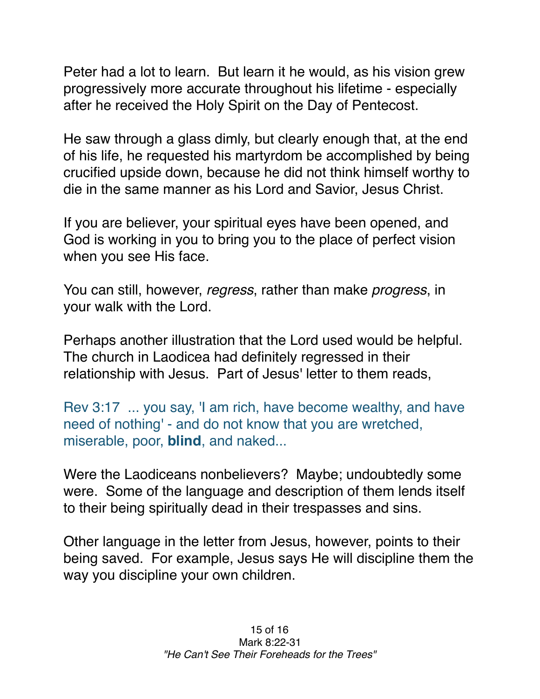Peter had a lot to learn. But learn it he would, as his vision grew progressively more accurate throughout his lifetime - especially after he received the Holy Spirit on the Day of Pentecost.

He saw through a glass dimly, but clearly enough that, at the end of his life, he requested his martyrdom be accomplished by being crucified upside down, because he did not think himself worthy to die in the same manner as his Lord and Savior, Jesus Christ.

If you are believer, your spiritual eyes have been opened, and God is working in you to bring you to the place of perfect vision when you see His face.

You can still, however, *regress*, rather than make *progress*, in your walk with the Lord.

Perhaps another illustration that the Lord used would be helpful. The church in Laodicea had definitely regressed in their relationship with Jesus. Part of Jesus' letter to them reads,

Rev 3:17 ... you say, 'I am rich, have become wealthy, and have need of nothing' - and do not know that you are wretched, miserable, poor, **blind**, and naked...

Were the Laodiceans nonbelievers? Maybe; undoubtedly some were. Some of the language and description of them lends itself to their being spiritually dead in their trespasses and sins.

Other language in the letter from Jesus, however, points to their being saved. For example, Jesus says He will discipline them the way you discipline your own children.